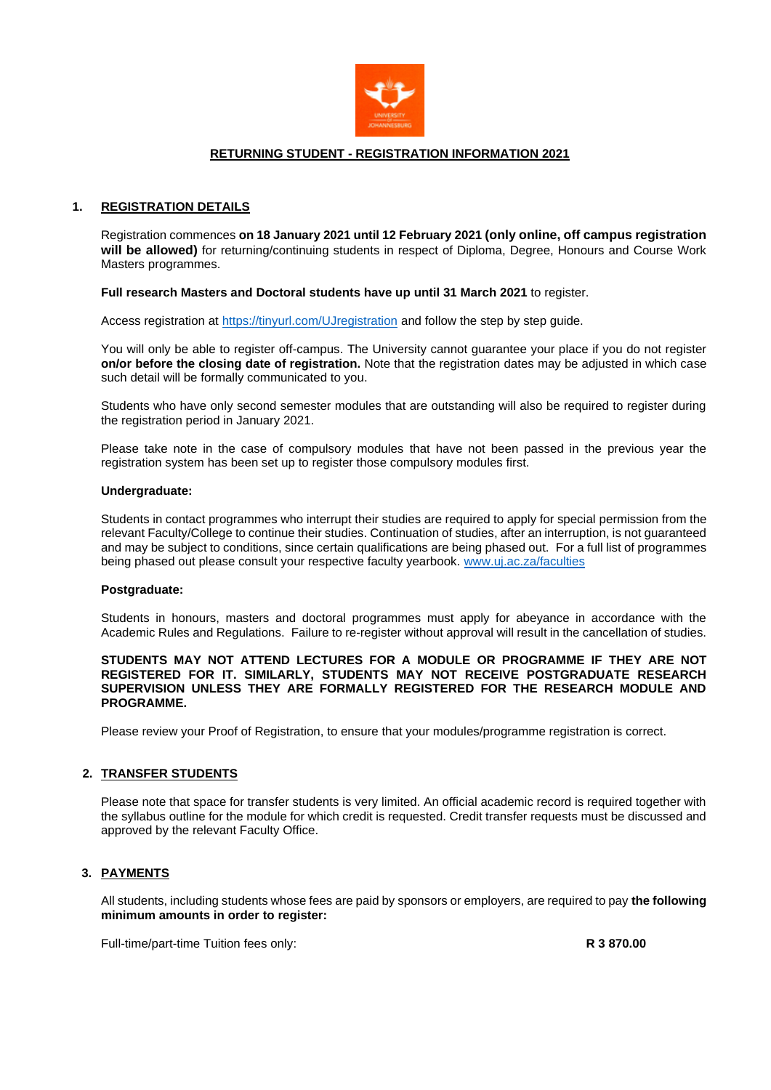

# **RETURNING STUDENT - REGISTRATION INFORMATION 2021**

# **1. REGISTRATION DETAILS**

Registration commences **on 18 January 2021 until 12 February 2021 (only online, off campus registration will be allowed)** for returning/continuing students in respect of Diploma, Degree, Honours and Course Work Masters programmes.

### **Full research Masters and Doctoral students have up until 31 March 2021** to register.

Access registration at<https://tinyurl.com/UJregistration> and follow the step by step guide.

You will only be able to register off-campus. The University cannot guarantee your place if you do not register **on/or before the closing date of registration.** Note that the registration dates may be adjusted in which case such detail will be formally communicated to you.

Students who have only second semester modules that are outstanding will also be required to register during the registration period in January 2021.

Please take note in the case of compulsory modules that have not been passed in the previous year the registration system has been set up to register those compulsory modules first.

### **Undergraduate:**

Students in contact programmes who interrupt their studies are required to apply for special permission from the relevant Faculty/College to continue their studies. Continuation of studies, after an interruption, is not guaranteed and may be subject to conditions, since certain qualifications are being phased out. For a full list of programmes being phased out please consult your respective faculty yearbook. [www.uj.ac.za/faculties](http://www.uj.ac.za/faculties)

### **Postgraduate:**

Students in honours, masters and doctoral programmes must apply for abeyance in accordance with the Academic Rules and Regulations. Failure to re-register without approval will result in the cancellation of studies.

### **STUDENTS MAY NOT ATTEND LECTURES FOR A MODULE OR PROGRAMME IF THEY ARE NOT REGISTERED FOR IT. SIMILARLY, STUDENTS MAY NOT RECEIVE POSTGRADUATE RESEARCH SUPERVISION UNLESS THEY ARE FORMALLY REGISTERED FOR THE RESEARCH MODULE AND PROGRAMME.**

Please review your Proof of Registration, to ensure that your modules/programme registration is correct.

# **2. TRANSFER STUDENTS**

Please note that space for transfer students is very limited. An official academic record is required together with the syllabus outline for the module for which credit is requested. Credit transfer requests must be discussed and approved by the relevant Faculty Office.

# **3. PAYMENTS**

All students, including students whose fees are paid by sponsors or employers, are required to pay **the following minimum amounts in order to register:**

Full-time/part-time Tuition fees only: **R 3 870.00**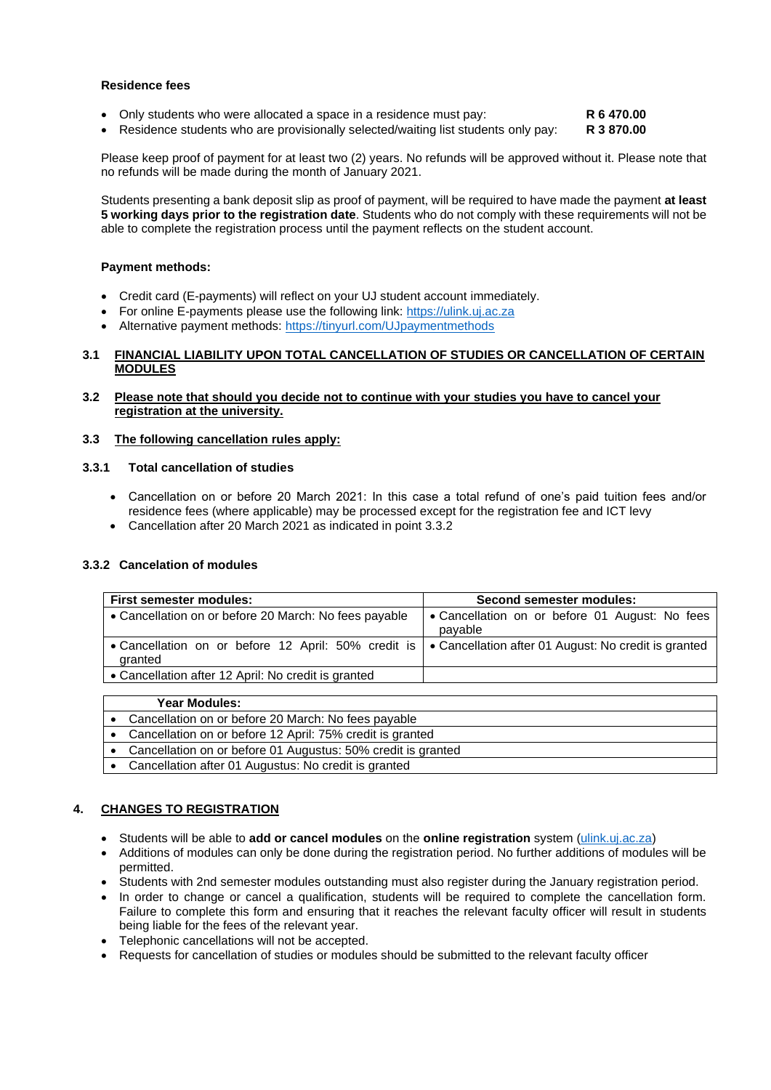### **Residence fees**

• Only students who were allocated a space in a residence must pay: **R 6 470.00**

• Residence students who are provisionally selected/waiting list students only pay: **R 3 870.00**

Please keep proof of payment for at least two (2) years. No refunds will be approved without it. Please note that no refunds will be made during the month of January 2021.

Students presenting a bank deposit slip as proof of payment, will be required to have made the payment **at least 5 working days prior to the registration date**. Students who do not comply with these requirements will not be able to complete the registration process until the payment reflects on the student account.

# **Payment methods:**

- Credit card (E-payments) will reflect on your UJ student account immediately.
- For online E-payments please use the following link: [https://ulink.uj.ac.za](https://ulink.uj.ac.za/)
- Alternative payment methods: <https://tinyurl.com/UJpaymentmethods>

# **3.1 FINANCIAL LIABILITY UPON TOTAL CANCELLATION OF STUDIES OR CANCELLATION OF CERTAIN MODULES**

# **3.2 Please note that should you decide not to continue with your studies you have to cancel your registration at the university.**

# **3.3 The following cancellation rules apply:**

# **3.3.1 Total cancellation of studies**

- Cancellation on or before 20 March 2021: In this case a total refund of one's paid tuition fees and/or residence fees (where applicable) may be processed except for the registration fee and ICT levy
- Cancellation after 20 March 2021 as indicated in point 3.3.2

# **3.3.2 Cancelation of modules**

| <b>First semester modules:</b>                                                                                        | Second semester modules:                                  |  |  |
|-----------------------------------------------------------------------------------------------------------------------|-----------------------------------------------------------|--|--|
| • Cancellation on or before 20 March: No fees payable                                                                 | • Cancellation on or before 01 August: No fees<br>payable |  |  |
| • Cancellation on or before 12 April: 50% credit is   • Cancellation after 01 August: No credit is granted<br>granted |                                                           |  |  |
| • Cancellation after 12 April: No credit is granted                                                                   |                                                           |  |  |
|                                                                                                                       |                                                           |  |  |

| <b>Year Modules:</b>                                         |
|--------------------------------------------------------------|
| Cancellation on or before 20 March: No fees payable          |
| Cancellation on or before 12 April: 75% credit is granted    |
| Cancellation on or before 01 Augustus: 50% credit is granted |
| Cancellation after 01 Augustus: No credit is granted         |

# **4. CHANGES TO REGISTRATION**

- Students will be able to **add or cancel modules** on the **online registration** system [\(ulink.uj.ac.za\)](https://ulink.uj.ac.za/Default)
- Additions of modules can only be done during the registration period. No further additions of modules will be permitted.
- Students with 2nd semester modules outstanding must also register during the January registration period.
- In order to change or cancel a qualification, students will be required to complete the cancellation form. Failure to complete this form and ensuring that it reaches the relevant faculty officer will result in students being liable for the fees of the relevant year.
- Telephonic cancellations will not be accepted.
- Requests for cancellation of studies or modules should be submitted to the relevant faculty officer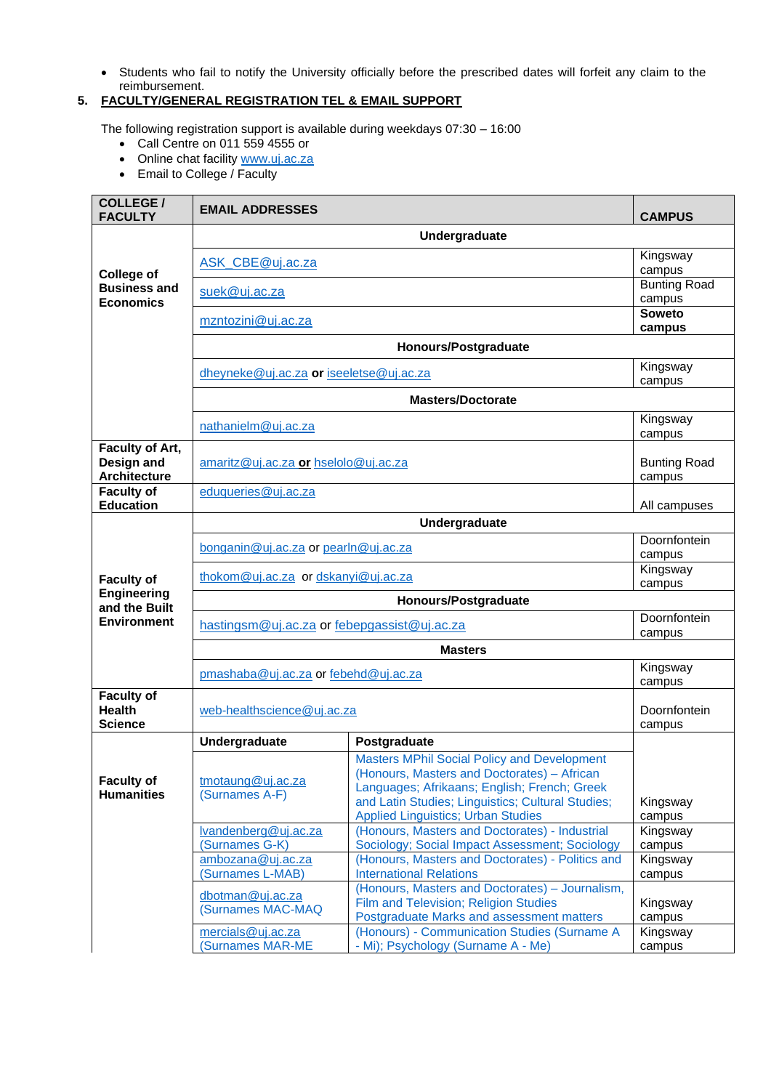• Students who fail to notify the University officially before the prescribed dates will forfeit any claim to the reimbursement.

# **5. FACULTY/GENERAL REGISTRATION TEL & EMAIL SUPPORT**

The following registration support is available during weekdays 07:30 – 16:00

- Call Centre on 011 559 4555 or
- Online chat facility [www.uj.ac.za](http://www.uj.ac.za/)
- Email to College / Faculty

| <b>COLLEGE /</b><br><b>FACULTY</b>                   | <b>EMAIL ADDRESSES</b>                       |                                                                                                                                                                                                                                                     | <b>CAMPUS</b>                 |  |
|------------------------------------------------------|----------------------------------------------|-----------------------------------------------------------------------------------------------------------------------------------------------------------------------------------------------------------------------------------------------------|-------------------------------|--|
|                                                      | Undergraduate                                |                                                                                                                                                                                                                                                     |                               |  |
| <b>College of</b>                                    | ASK_CBE@uj.ac.za                             | Kingsway<br>campus                                                                                                                                                                                                                                  |                               |  |
| <b>Business and</b><br><b>Economics</b>              | suek@uj.ac.za                                |                                                                                                                                                                                                                                                     | <b>Bunting Road</b><br>campus |  |
|                                                      | mzntozini@uj.ac.za                           |                                                                                                                                                                                                                                                     | <b>Soweto</b><br>campus       |  |
|                                                      | Honours/Postgraduate                         |                                                                                                                                                                                                                                                     |                               |  |
|                                                      | dheyneke@uj.ac.za or iseeletse@uj.ac.za      | Kingsway                                                                                                                                                                                                                                            |                               |  |
|                                                      |                                              | <b>Masters/Doctorate</b>                                                                                                                                                                                                                            | campus                        |  |
|                                                      |                                              |                                                                                                                                                                                                                                                     | Kingsway                      |  |
|                                                      | nathanielm@uj.ac.za                          |                                                                                                                                                                                                                                                     | campus                        |  |
| Faculty of Art,<br>Design and<br>Architecture        | amaritz@uj.ac.za or hselolo@uj.ac.za         |                                                                                                                                                                                                                                                     | <b>Bunting Road</b><br>campus |  |
| <b>Faculty of</b><br><b>Education</b>                | eduqueries@uj.ac.za                          |                                                                                                                                                                                                                                                     | All campuses                  |  |
|                                                      |                                              | Undergraduate                                                                                                                                                                                                                                       |                               |  |
|                                                      | bonganin@uj.ac.za or pearln@uj.ac.za         |                                                                                                                                                                                                                                                     | Doornfontein<br>campus        |  |
| <b>Faculty of</b>                                    | thokom@uj.ac.za or dskanyi@uj.ac.za          |                                                                                                                                                                                                                                                     | Kingsway<br>campus            |  |
| Engineering<br>and the Built                         | Honours/Postgraduate                         |                                                                                                                                                                                                                                                     |                               |  |
| <b>Environment</b>                                   | hastingsm@uj.ac.za or febepgassist@uj.ac.za  |                                                                                                                                                                                                                                                     | Doornfontein<br>campus        |  |
|                                                      | <b>Masters</b>                               |                                                                                                                                                                                                                                                     |                               |  |
|                                                      | pmashaba@uj.ac.za or febehd@uj.ac.za         |                                                                                                                                                                                                                                                     | Kingsway<br>campus            |  |
| <b>Faculty of</b><br><b>Health</b><br><b>Science</b> | web-healthscience@uj.ac.za                   |                                                                                                                                                                                                                                                     | Doornfontein                  |  |
|                                                      | Undergraduate                                | Postgraduate                                                                                                                                                                                                                                        | campus                        |  |
| <b>Faculty of</b><br><b>Humanities</b>               | tmotaung@uj.ac.za<br>(Surnames A-F)          | <b>Masters MPhil Social Policy and Development</b><br>(Honours, Masters and Doctorates) - African<br>Languages; Afrikaans; English; French; Greek<br>and Latin Studies; Linguistics; Cultural Studies;<br><b>Applied Linguistics; Urban Studies</b> | Kingsway<br>campus            |  |
|                                                      | lvandenberg@uj.ac.za<br>(Surnames G-K)       | (Honours, Masters and Doctorates) - Industrial<br>Sociology; Social Impact Assessment; Sociology                                                                                                                                                    | Kingsway<br>campus            |  |
|                                                      | ambozana@uj.ac.za<br>(Surnames L-MAB)        | (Honours, Masters and Doctorates) - Politics and<br><b>International Relations</b>                                                                                                                                                                  | Kingsway<br>campus            |  |
|                                                      | dbotman@uj.ac.za<br>(Surnames MAC-MAQ        | (Honours, Masters and Doctorates) - Journalism,<br>Film and Television; Religion Studies<br>Postgraduate Marks and assessment matters                                                                                                               | Kingsway<br>campus            |  |
|                                                      | mercials@uj.ac.za<br><b>(Surnames MAR-ME</b> | (Honours) - Communication Studies (Surname A<br>- Mi); Psychology (Surname A - Me)                                                                                                                                                                  | Kingsway<br>campus            |  |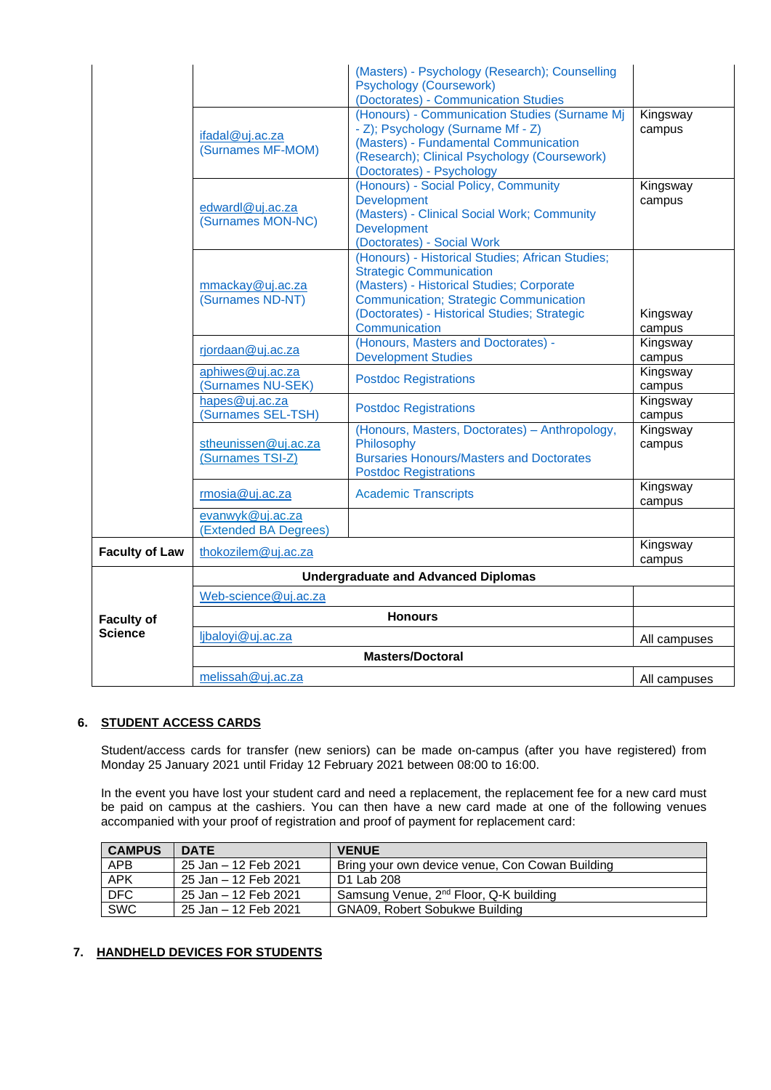|                       |                                            | (Masters) - Psychology (Research); Counselling<br><b>Psychology (Coursework)</b>                                                                                                                                                                  |                    |
|-----------------------|--------------------------------------------|---------------------------------------------------------------------------------------------------------------------------------------------------------------------------------------------------------------------------------------------------|--------------------|
|                       |                                            | (Doctorates) - Communication Studies                                                                                                                                                                                                              |                    |
|                       | ifadal@uj.ac.za<br>(Surnames MF-MOM)       | (Honours) - Communication Studies (Surname Mj<br>- Z); Psychology (Surname Mf - Z)<br>(Masters) - Fundamental Communication<br>(Research); Clinical Psychology (Coursework)<br>(Doctorates) - Psychology                                          | Kingsway<br>campus |
|                       | edwardl@uj.ac.za<br>(Surnames MON-NC)      | (Honours) - Social Policy, Community<br><b>Development</b><br>(Masters) - Clinical Social Work; Community<br><b>Development</b><br>(Doctorates) - Social Work                                                                                     | Kingsway<br>campus |
|                       | mmackay@uj.ac.za<br>(Surnames ND-NT)       | (Honours) - Historical Studies; African Studies;<br><b>Strategic Communication</b><br>(Masters) - Historical Studies; Corporate<br><b>Communication; Strategic Communication</b><br>(Doctorates) - Historical Studies; Strategic<br>Communication | Kingsway<br>campus |
|                       | rjordaan@uj.ac.za                          | (Honours, Masters and Doctorates) -<br><b>Development Studies</b>                                                                                                                                                                                 | Kingsway<br>campus |
|                       | aphiwes@uj.ac.za<br>(Surnames NU-SEK)      | <b>Postdoc Registrations</b>                                                                                                                                                                                                                      | Kingsway<br>campus |
|                       | hapes@uj.ac.za<br>(Surnames SEL-TSH)       | <b>Postdoc Registrations</b>                                                                                                                                                                                                                      | Kingsway<br>campus |
|                       | stheunissen@uj.ac.za<br>(Surnames TSI-Z)   | (Honours, Masters, Doctorates) - Anthropology,<br>Philosophy<br><b>Bursaries Honours/Masters and Doctorates</b>                                                                                                                                   | Kingsway<br>campus |
|                       | rmosia@uj.ac.za                            | <b>Postdoc Registrations</b><br><b>Academic Transcripts</b>                                                                                                                                                                                       | Kingsway<br>campus |
|                       | evanwyk@uj.ac.za<br>(Extended BA Degrees)  |                                                                                                                                                                                                                                                   |                    |
| <b>Faculty of Law</b> | thokozilem@uj.ac.za                        |                                                                                                                                                                                                                                                   | Kingsway<br>campus |
|                       | <b>Undergraduate and Advanced Diplomas</b> |                                                                                                                                                                                                                                                   |                    |
|                       | Web-science@uj.ac.za                       |                                                                                                                                                                                                                                                   |                    |
| <b>Faculty of</b>     | <b>Honours</b>                             |                                                                                                                                                                                                                                                   |                    |
| Science               | ljbaloyi@uj.ac.za                          |                                                                                                                                                                                                                                                   | All campuses       |
|                       | <b>Masters/Doctoral</b>                    |                                                                                                                                                                                                                                                   |                    |
|                       | melissah@uj.ac.za                          |                                                                                                                                                                                                                                                   | All campuses       |

# **6. STUDENT ACCESS CARDS**

Student/access cards for transfer (new seniors) can be made on-campus (after you have registered) from Monday 25 January 2021 until Friday 12 February 2021 between 08:00 to 16:00.

In the event you have lost your student card and need a replacement, the replacement fee for a new card must be paid on campus at the cashiers. You can then have a new card made at one of the following venues accompanied with your proof of registration and proof of payment for replacement card:

| <b>CAMPUS</b> | <b>DATE</b>          | <b>VENUE</b>                                       |
|---------------|----------------------|----------------------------------------------------|
| <b>APB</b>    | 25 Jan – 12 Feb 2021 | Bring your own device venue, Con Cowan Building    |
| <b>APK</b>    | 25 Jan – 12 Feb 2021 | D1 Lab 208                                         |
| DFC           | 25 Jan – 12 Feb 2021 | Samsung Venue, 2 <sup>nd</sup> Floor, Q-K building |
| <b>SWC</b>    | 25 Jan – 12 Feb 2021 | <b>GNA09, Robert Sobukwe Building</b>              |

# **7. HANDHELD DEVICES FOR STUDENTS**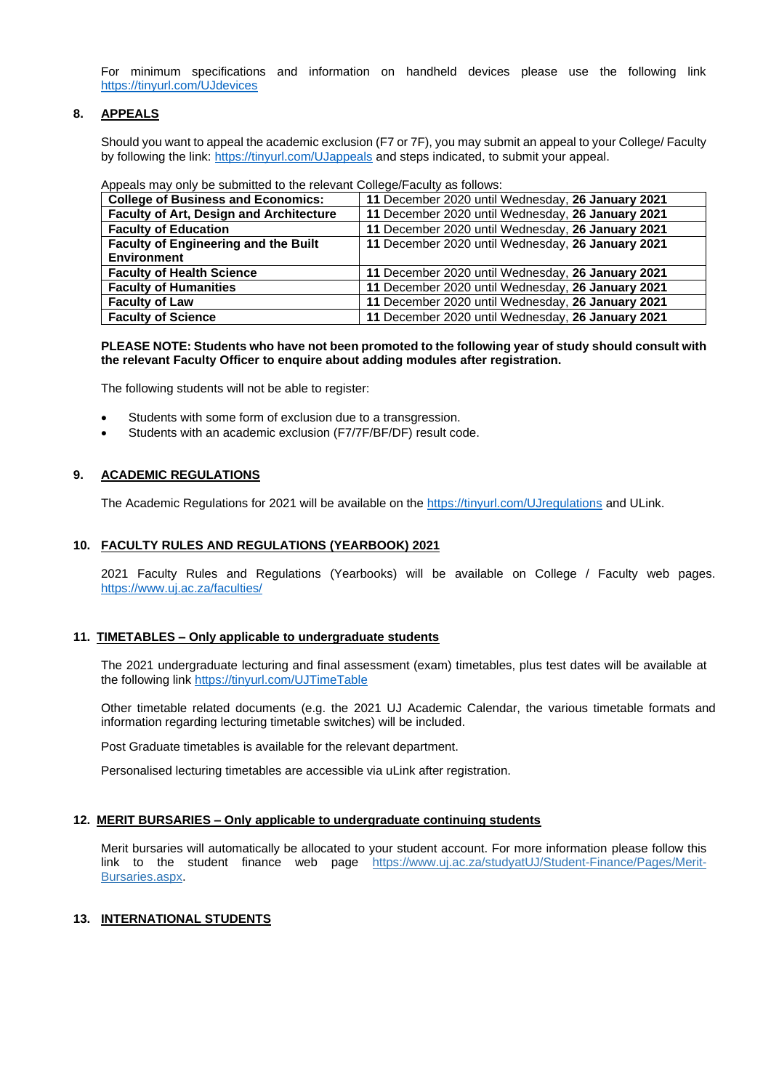For minimum specifications and information on handheld devices please use the following link <https://tinyurl.com/UJdevices>

# **8. APPEALS**

Should you want to appeal the academic exclusion (F7 or 7F), you may submit an appeal to your College/ Faculty by following the link[: https://tinyurl.com/UJappeals](https://tinyurl.com/UJappeals) and steps indicated, to submit your appeal.

#### Appeals may only be submitted to the relevant College/Faculty as follows:

| <b>College of Business and Economics:</b>      | 11 December 2020 until Wednesday, 26 January 2021 |
|------------------------------------------------|---------------------------------------------------|
| <b>Faculty of Art, Design and Architecture</b> | 11 December 2020 until Wednesday, 26 January 2021 |
| <b>Faculty of Education</b>                    | 11 December 2020 until Wednesday, 26 January 2021 |
| <b>Faculty of Engineering and the Built</b>    | 11 December 2020 until Wednesday, 26 January 2021 |
| <b>Environment</b>                             |                                                   |
| <b>Faculty of Health Science</b>               | 11 December 2020 until Wednesday, 26 January 2021 |
| <b>Faculty of Humanities</b>                   | 11 December 2020 until Wednesday, 26 January 2021 |
| <b>Faculty of Law</b>                          | 11 December 2020 until Wednesday, 26 January 2021 |
| <b>Faculty of Science</b>                      | 11 December 2020 until Wednesday, 26 January 2021 |

### **PLEASE NOTE: Students who have not been promoted to the following year of study should consult with the relevant Faculty Officer to enquire about adding modules after registration.**

The following students will not be able to register:

- Students with some form of exclusion due to a transgression.
- Students with an academic exclusion (F7/7F/BF/DF) result code.

# **9. ACADEMIC REGULATIONS**

The Academic Regulations for 2021 will be available on the<https://tinyurl.com/UJregulations> and ULink.

# **10. FACULTY RULES AND REGULATIONS (YEARBOOK) 2021**

2021 Faculty Rules and Regulations (Yearbooks) will be available on College / Faculty web pages. <https://www.uj.ac.za/faculties/>

### **11. TIMETABLES – Only applicable to undergraduate students**

The 2021 undergraduate lecturing and final assessment (exam) timetables, plus test dates will be available at the following link <https://tinyurl.com/UJTimeTable>

Other timetable related documents (e.g. the 2021 UJ Academic Calendar, the various timetable formats and information regarding lecturing timetable switches) will be included.

Post Graduate timetables is available for the relevant department.

Personalised lecturing timetables are accessible via uLink after registration.

### **12. MERIT BURSARIES – Only applicable to undergraduate continuing students**

Merit bursaries will automatically be allocated to your student account. For more information please follow this link to the student finance web page [https://www.uj.ac.za/studyatUJ/Student-Finance/Pages/Merit-](https://www.uj.ac.za/studyatUJ/Student-Finance/Pages/Merit-Bursaries.aspx)[Bursaries.aspx.](https://www.uj.ac.za/studyatUJ/Student-Finance/Pages/Merit-Bursaries.aspx)

### **13. INTERNATIONAL STUDENTS**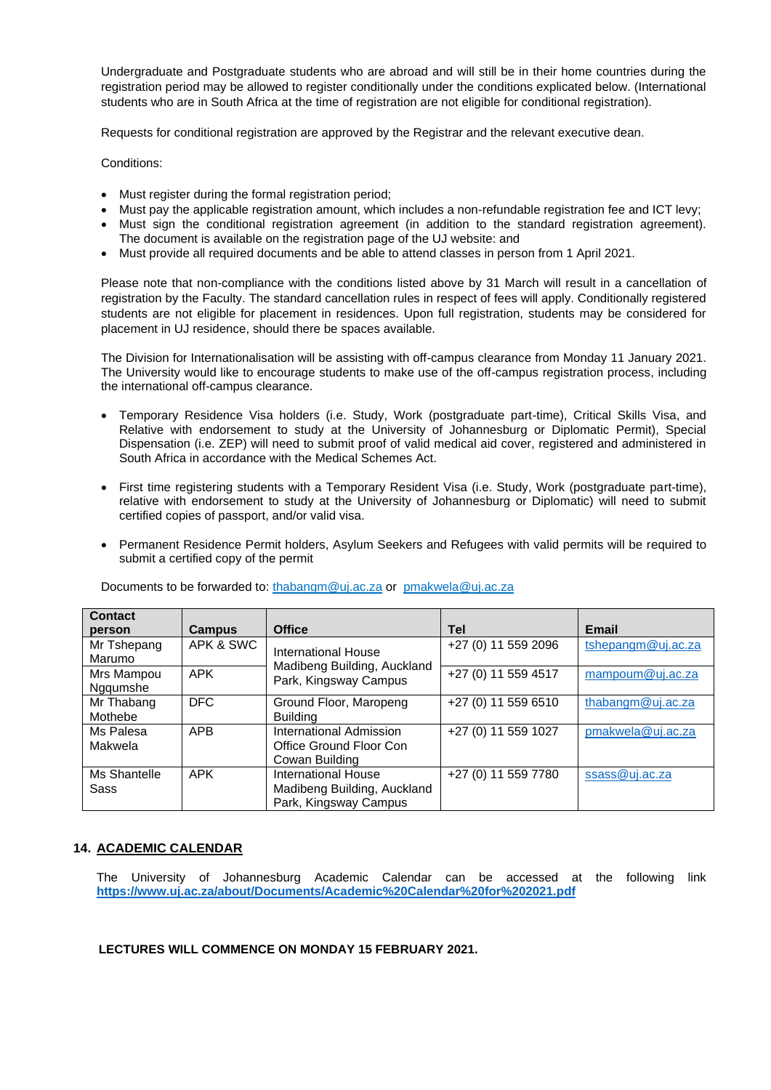Undergraduate and Postgraduate students who are abroad and will still be in their home countries during the registration period may be allowed to register conditionally under the conditions explicated below. (International students who are in South Africa at the time of registration are not eligible for conditional registration).

Requests for conditional registration are approved by the Registrar and the relevant executive dean.

Conditions:

- Must register during the formal registration period;
- Must pay the applicable registration amount, which includes a non-refundable registration fee and ICT levy;
- Must sign the conditional registration agreement (in addition to the standard registration agreement). The document is available on the registration page of the UJ website: and
- Must provide all required documents and be able to attend classes in person from 1 April 2021.

Please note that non-compliance with the conditions listed above by 31 March will result in a cancellation of registration by the Faculty. The standard cancellation rules in respect of fees will apply. Conditionally registered students are not eligible for placement in residences. Upon full registration, students may be considered for placement in UJ residence, should there be spaces available.

The Division for Internationalisation will be assisting with off-campus clearance from Monday 11 January 2021. The University would like to encourage students to make use of the off-campus registration process, including the international off-campus clearance.

- Temporary Residence Visa holders (i.e. Study, Work (postgraduate part-time), Critical Skills Visa, and Relative with endorsement to study at the University of Johannesburg or Diplomatic Permit), Special Dispensation (i.e. ZEP) will need to submit proof of valid medical aid cover, registered and administered in South Africa in accordance with the Medical Schemes Act.
- First time registering students with a Temporary Resident Visa (i.e. Study, Work (postgraduate part-time), relative with endorsement to study at the University of Johannesburg or Diplomatic) will need to submit certified copies of passport, and/or valid visa.
- Permanent Residence Permit holders, Asylum Seekers and Refugees with valid permits will be required to submit a certified copy of the permit

| <b>Contact</b>         |               |                                                                             |                     |                    |
|------------------------|---------------|-----------------------------------------------------------------------------|---------------------|--------------------|
| person                 | <b>Campus</b> | <b>Office</b>                                                               | <b>Tel</b>          | <b>Email</b>       |
| Mr Tshepang<br>Marumo  | APK & SWC     | International House<br>Madibeng Building, Auckland                          | +27 (0) 11 559 2096 | tshepangm@uj.ac.za |
| Mrs Mampou<br>Ngqumshe | <b>APK</b>    | Park, Kingsway Campus                                                       | +27 (0) 11 559 4517 | mampoum@uj.ac.za   |
| Mr Thabang<br>Mothebe  | <b>DFC</b>    | Ground Floor, Maropeng<br><b>Building</b>                                   | +27 (0) 11 559 6510 | thabangm@uj.ac.za  |
| Ms Palesa<br>Makwela   | <b>APB</b>    | International Admission<br>Office Ground Floor Con<br>Cowan Building        | +27 (0) 11 559 1027 | pmakwela@uj.ac.za  |
| Ms Shantelle<br>Sass   | <b>APK</b>    | International House<br>Madibeng Building, Auckland<br>Park, Kingsway Campus | +27 (0) 11 559 7780 | ssass@uj.ac.za     |

Documents to be forwarded to: [thabangm@uj.ac.za](mailto:thabangm@uj.ac.za) or [pmakwela@uj.ac.za](mailto:pmakwela@uj.ac.za)

# **14. ACADEMIC CALENDAR**

The University of Johannesburg Academic Calendar can be accessed at the following link **<https://www.uj.ac.za/about/Documents/Academic%20Calendar%20for%202021.pdf>**

**LECTURES WILL COMMENCE ON MONDAY 15 FEBRUARY 2021.**